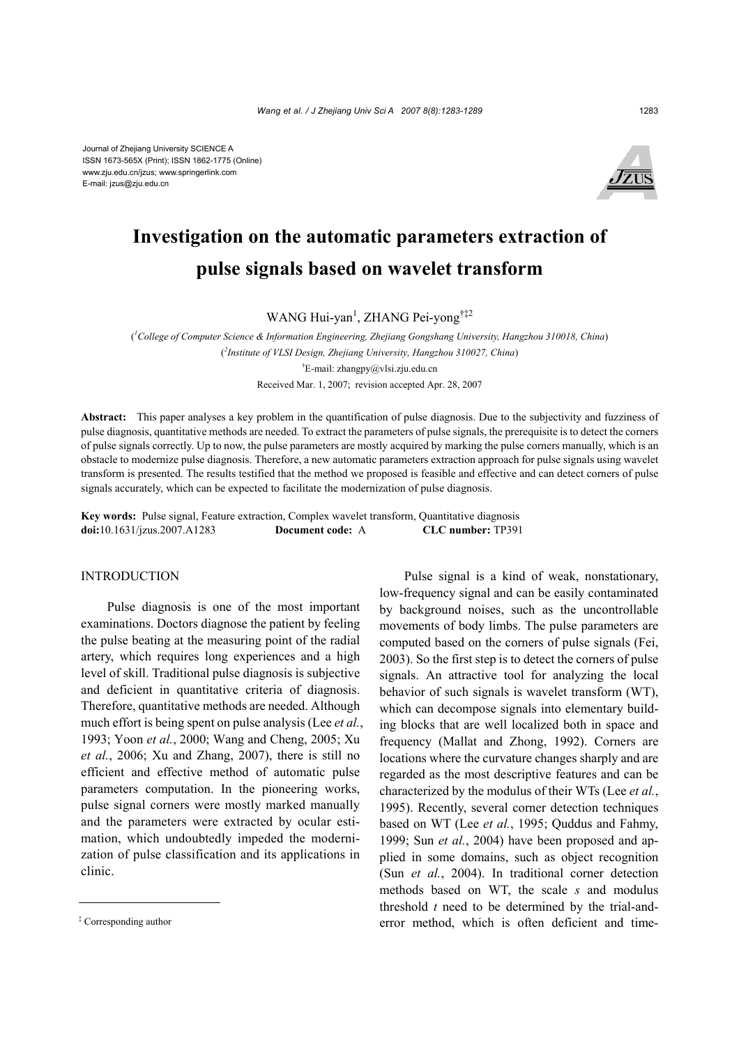

# **Investigation on the automatic parameters extraction of pulse signals based on wavelet transform**

WANG Hui-yan<sup>1</sup>, ZHANG Pei-yong<sup>†‡2</sup>

( *1 College of Computer Science & Information Engineering, Zhejiang Gongshang University, Hangzhou 310018, China*) ( *2 Institute of VLSI Design, Zhejiang University, Hangzhou 310027, China*) † E-mail: zhangpy@vlsi.zju.edu.cn Received Mar. 1, 2007; revision accepted Apr. 28, 2007

**Abstract:** This paper analyses a key problem in the quantification of pulse diagnosis. Due to the subjectivity and fuzziness of pulse diagnosis, quantitative methods are needed. To extract the parameters of pulse signals, the prerequisite is to detect the corners of pulse signals correctly. Up to now, the pulse parameters are mostly acquired by marking the pulse corners manually, which is an obstacle to modernize pulse diagnosis. Therefore, a new automatic parameters extraction approach for pulse signals using wavelet transform is presented. The results testified that the method we proposed is feasible and effective and can detect corners of pulse signals accurately, which can be expected to facilitate the modernization of pulse diagnosis.

**Key words:** Pulse signal, Feature extraction, Complex wavelet transform, Quantitative diagnosis **doi:**10.1631/jzus.2007.A1283 **Document code:** A **CLC number:** TP391

# **INTRODUCTION**

Pulse diagnosis is one of the most important examinations. Doctors diagnose the patient by feeling the pulse beating at the measuring point of the radial artery, which requires long experiences and a high level of skill. Traditional pulse diagnosis is subjective and deficient in quantitative criteria of diagnosis. Therefore, quantitative methods are needed. Although much effort is being spent on pulse analysis (Lee *et al.*, 1993; Yoon *et al.*, 2000; Wang and Cheng, 2005; Xu *et al.*, 2006; Xu and Zhang, 2007), there is still no efficient and effective method of automatic pulse parameters computation. In the pioneering works, pulse signal corners were mostly marked manually and the parameters were extracted by ocular estimation, which undoubtedly impeded the modernization of pulse classification and its applications in clinic.

Pulse signal is a kind of weak, nonstationary, low-frequency signal and can be easily contaminated by background noises, such as the uncontrollable movements of body limbs. The pulse parameters are computed based on the corners of pulse signals (Fei, 2003). So the first step is to detect the corners of pulse signals. An attractive tool for analyzing the local behavior of such signals is wavelet transform (WT), which can decompose signals into elementary building blocks that are well localized both in space and frequency (Mallat and Zhong, 1992). Corners are locations where the curvature changes sharply and are regarded as the most descriptive features and can be characterized by the modulus of their WTs (Lee *et al.*, 1995). Recently, several corner detection techniques based on WT (Lee *et al.*, 1995; Quddus and Fahmy, 1999; Sun *et al.*, 2004) have been proposed and applied in some domains, such as object recognition (Sun *et al.*, 2004). In traditional corner detection methods based on WT, the scale *s* and modulus threshold *t* need to be determined by the trial-anderror method, which is often deficient and time-

<sup>‡</sup> Corresponding author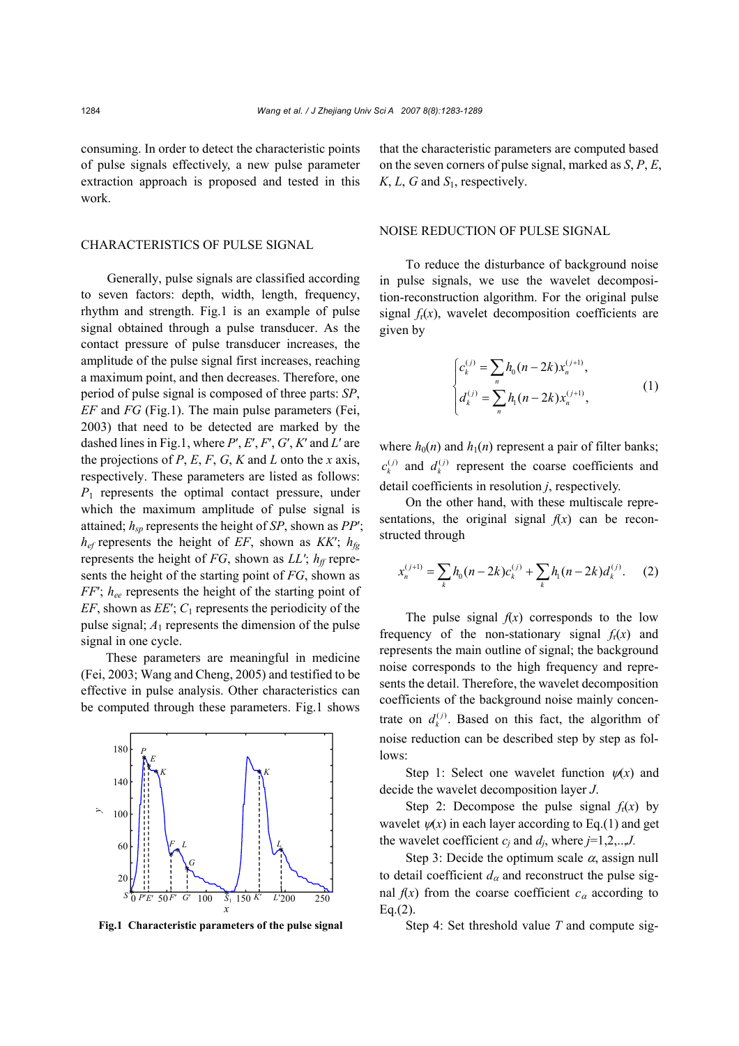consuming. In order to detect the characteristic points of pulse signals effectively, a new pulse parameter extraction approach is proposed and tested in this work.

#### CHARACTERISTICS OF PULSE SIGNAL

Generally, pulse signals are classified according to seven factors: depth, width, length, frequency, rhythm and strength. Fig.1 is an example of pulse signal obtained through a pulse transducer. As the contact pressure of pulse transducer increases, the amplitude of the pulse signal first increases, reaching a maximum point, and then decreases. Therefore, one period of pulse signal is composed of three parts: *SP*, *EF* and *FG* (Fig.1). The main pulse parameters (Fei, 2003) that need to be detected are marked by the dashed lines in Fig.1, where  $P', E', F', G', K'$  and  $L'$  are the projections of  $P$ ,  $E$ ,  $F$ ,  $G$ ,  $K$  and  $L$  onto the  $x$  axis, respectively. These parameters are listed as follows: *P*1 represents the optimal contact pressure, under which the maximum amplitude of pulse signal is attained; *hsp* represents the height of *SP*, shown as *PP*′;  $h_{ef}$  represents the height of *EF*, shown as *KK'*;  $h_{fg}$ represents the height of  $FG$ , shown as  $LL^{\prime}$ ;  $h_f$  represents the height of the starting point of *FG*, shown as *FF'*;  $h_{ee}$  represents the height of the starting point of *EF*, shown as *EE'*;  $C_1$  represents the periodicity of the pulse signal; *A*1 represents the dimension of the pulse signal in one cycle.

These parameters are meaningful in medicine (Fei, 2003; Wang and Cheng, 2005) and testified to be effective in pulse analysis. Other characteristics can be computed through these parameters. Fig.1 shows



**Fig.1 Characteristic parameters of the pulse signal**

that the characteristic parameters are computed based on the seven corners of pulse signal, marked as *S*, *P*, *E*, *K*, *L*, *G* and *S*1, respectively.

#### NOISE REDUCTION OF PULSE SIGNAL

To reduce the disturbance of background noise in pulse signals, we use the wavelet decomposition-reconstruction algorithm. For the original pulse signal  $f_r(x)$ , wavelet decomposition coefficients are given by

$$
\begin{cases} c_k^{(j)} = \sum_n h_0(n - 2k) x_n^{(j+1)}, \\ d_k^{(j)} = \sum_n h_1(n - 2k) x_n^{(j+1)}, \end{cases} (1)
$$

where  $h_0(n)$  and  $h_1(n)$  represent a pair of filter banks;  $c_k^{(j)}$  and  $d_k^{(j)}$  represent the coarse coefficients and detail coefficients in resolution *j*, respectively.

On the other hand, with these multiscale representations, the original signal  $f(x)$  can be reconstructed through

$$
x_n^{(j+1)} = \sum_k h_0(n-2k)c_k^{(j)} + \sum_k h_1(n-2k)d_k^{(j)}.
$$
 (2)

The pulse signal  $f(x)$  corresponds to the low frequency of the non-stationary signal  $f_r(x)$  and represents the main outline of signal; the background noise corresponds to the high frequency and represents the detail. Therefore, the wavelet decomposition coefficients of the background noise mainly concentrate on  $d_k^{(j)}$ . Based on this fact, the algorithm of noise reduction can be described step by step as follows:

Step 1: Select one wavelet function  $\psi(x)$  and decide the wavelet decomposition layer *J*.

Step 2: Decompose the pulse signal  $f_r(x)$  by wavelet  $\psi(x)$  in each layer according to Eq.(1) and get the wavelet coefficient  $c_j$  and  $d_j$ , where  $j=1,2,..,J$ .

Step 3: Decide the optimum scale  $\alpha$ , assign null to detail coefficient  $d_{\alpha}$  and reconstruct the pulse signal  $f(x)$  from the coarse coefficient  $c_\alpha$  according to Eq.(2).

Step 4: Set threshold value *T* and compute sig-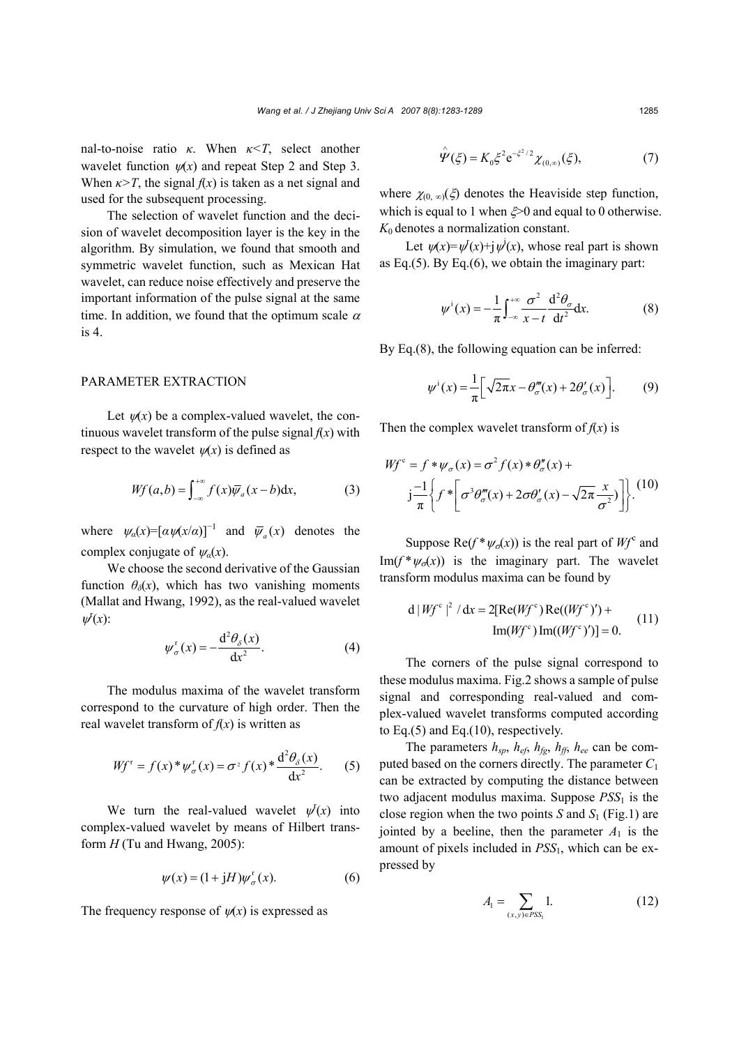nal-to-noise ratio *κ*. When *κ<T*, select another wavelet function  $\psi(x)$  and repeat Step 2 and Step 3. When  $\kappa$ >*T*, the signal  $f(x)$  is taken as a net signal and used for the subsequent processing.

The selection of wavelet function and the decision of wavelet decomposition layer is the key in the algorithm. By simulation, we found that smooth and symmetric wavelet function, such as Mexican Hat wavelet, can reduce noise effectively and preserve the important information of the pulse signal at the same time. In addition, we found that the optimum scale  $\alpha$ is 4.

### PARAMETER EXTRACTION

Let  $\psi(x)$  be a complex-valued wavelet, the continuous wavelet transform of the pulse signal  $f(x)$  with respect to the wavelet  $\psi(x)$  is defined as

$$
Wf(a,b) = \int_{-\infty}^{+\infty} f(x)\overline{\psi}_a(x-b)dx, \tag{3}
$$

where  $\psi_a(x) = [\alpha \psi(x/\alpha)]^{-1}$  and  $\overline{\psi}_a(x)$  denotes the complex conjugate of  $\psi_a(x)$ .

We choose the second derivative of the Gaussian function  $\theta_{\delta}(x)$ , which has two vanishing moments (Mallat and Hwang, 1992), as the real-valued wavelet  $\psi^{\mathrm{r}}(x)$ :

$$
\psi_{\sigma}^{\mathrm{r}}(x) = -\frac{\mathrm{d}^2 \theta_{\delta}(x)}{\mathrm{d}x^2}.
$$
 (4)

The modulus maxima of the wavelet transform correspond to the curvature of high order. Then the real wavelet transform of  $f(x)$  is written as

$$
Wf^{r} = f(x) * \psi_{\sigma}^{r}(x) = \sigma^{2} f(x) * \frac{d^{2} \theta_{\delta}(x)}{dx^{2}}.
$$
 (5)

We turn the real-valued wavelet  $\psi^f(x)$  into complex-valued wavelet by means of Hilbert transform  $H$  (Tu and Hwang, 2005):

$$
\psi(x) = (1 + jH)\psi_{\sigma}^{r}(x). \tag{6}
$$

The frequency response of  $\psi(x)$  is expressed as

$$
\hat{\mathcal{V}}(\xi) = K_0 \xi^2 e^{-\xi^2/2} \chi_{(0,\infty)}(\xi),\tag{7}
$$

where  $\chi_{(0,\infty)}(\xi)$  denotes the Heaviside step function, which is equal to 1 when  $\approx 0$  and equal to 0 otherwise. *K*0 denotes a normalization constant.

Let  $\psi(x) = \psi^{\dagger}(x) + j\psi^{\dagger}(x)$ , whose real part is shown as Eq. $(5)$ . By Eq. $(6)$ , we obtain the imaginary part:

$$
\psi^i(x) = -\frac{1}{\pi} \int_{-\infty}^{+\infty} \frac{\sigma^2}{x - t} \frac{d^2 \theta_{\sigma}}{dt^2} dx.
$$
 (8)

By Eq.(8), the following equation can be inferred:

$$
\psi^{\dagger}(x) = \frac{1}{\pi} \left[ \sqrt{2\pi} x - \theta_{\sigma}'''(x) + 2\theta_{\sigma}'(x) \right].
$$
 (9)

Then the complex wavelet transform of  $f(x)$  is

$$
Wf^c = f * \psi_\sigma(x) = \sigma^2 f(x) * \theta_\sigma''(x) +
$$
  

$$
j \frac{-1}{\pi} \left\{ f * \left[ \sigma^3 \theta_\sigma'''(x) + 2 \sigma \theta_\sigma'(x) - \sqrt{2\pi} \frac{x}{\sigma^2} \right] \right\}.
$$
 (10)

Suppose  $\text{Re}(f^* \psi_{\sigma}(x))$  is the real part of  $Wf^c$  and Im( $f^* \psi_o(x)$ ) is the imaginary part. The wavelet transform modulus maxima can be found by

$$
d|Wf^c|^2 / dx = 2[Re(Wf^c)Re((Wf^c)') + Im(Wf^c)Im((Wf^c)')] = 0.
$$
 (11)

The corners of the pulse signal correspond to these modulus maxima. Fig.2 shows a sample of pulse signal and corresponding real-valued and complex-valued wavelet transforms computed according to Eq.(5) and Eq.(10), respectively.

The parameters  $h_{sp}$ ,  $h_{ef}$ ,  $h_{fg}$ ,  $h_{ff}$ ,  $h_{ee}$  can be computed based on the corners directly. The parameter *C*<sup>1</sup> can be extracted by computing the distance between two adjacent modulus maxima. Suppose *PSS*<sup>1</sup> is the close region when the two points *S* and  $S_1$  (Fig.1) are jointed by a beeline, then the parameter  $A_1$  is the amount of pixels included in *PSS*1, which can be expressed by

$$
A_1 = \sum_{(x,y)\in PSS_1} 1.
$$
 (12)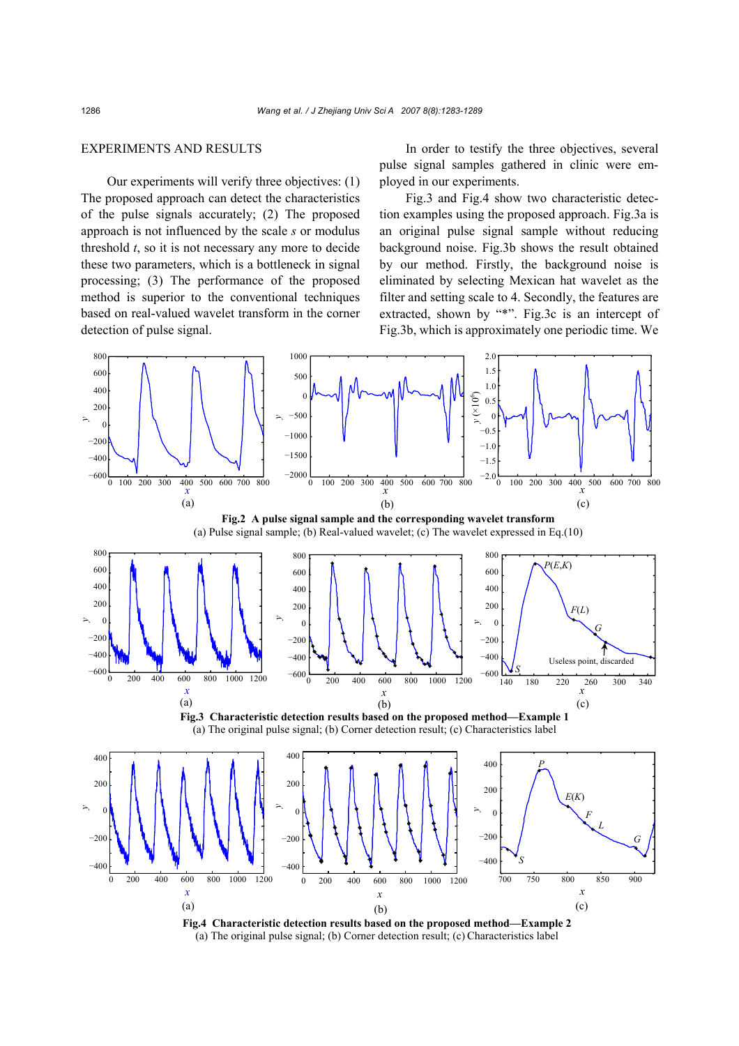# EXPERIMENTS AND RESULTS

Our experiments will verify three objectives: (1) The proposed approach can detect the characteristics of the pulse signals accurately; (2) The proposed approach is not influenced by the scale *s* or modulus threshold *t*, so it is not necessary any more to decide these two parameters, which is a bottleneck in signal processing; (3) The performance of the proposed method is superior to the conventional techniques based on real-valued wavelet transform in the corner detection of pulse signal.

In order to testify the three objectives, several pulse signal samples gathered in clinic were employed in our experiments.

Fig.3 and Fig.4 show two characteristic detection examples using the proposed approach. Fig.3a is an original pulse signal sample without reducing background noise. Fig.3b shows the result obtained by our method. Firstly, the background noise is eliminated by selecting Mexican hat wavelet as the filter and setting scale to 4. Secondly, the features are extracted, shown by "\*". Fig.3c is an intercept of Fig.3b, which is approximately one periodic time. We



**Fig.4 Characteristic detection results based on the proposed method—Example 2**  (a) The original pulse signal; (b) Corner detection result; (c) Characteristics label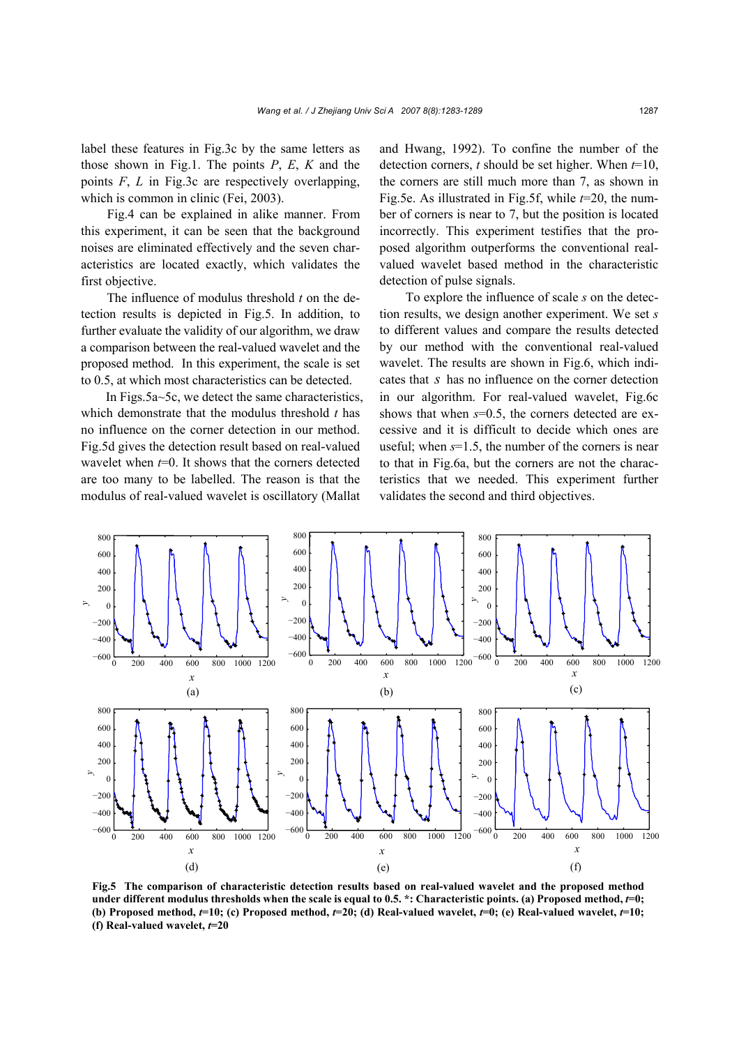label these features in Fig.3c by the same letters as those shown in Fig.1. The points *P*, *E*, *K* and the points *F*, *L* in Fig.3c are respectively overlapping, which is common in clinic (Fei, 2003).

Fig.4 can be explained in alike manner. From this experiment, it can be seen that the background noises are eliminated effectively and the seven characteristics are located exactly, which validates the first objective.

The influence of modulus threshold *t* on the detection results is depicted in Fig.5. In addition, to further evaluate the validity of our algorithm, we draw a comparison between the real-valued wavelet and the proposed method. In this experiment, the scale is set to 0.5, at which most characteristics can be detected.

In Figs.5a~5c, we detect the same characteristics, which demonstrate that the modulus threshold *t* has no influence on the corner detection in our method. Fig.5d gives the detection result based on real-valued wavelet when *t*=0. It shows that the corners detected are too many to be labelled. The reason is that the modulus of real-valued wavelet is oscillatory (Mallat

and Hwang, 1992). To confine the number of the detection corners, *t* should be set higher. When *t*=10, the corners are still much more than 7, as shown in Fig.5e. As illustrated in Fig.5f, while *t*=20, the number of corners is near to 7, but the position is located incorrectly. This experiment testifies that the proposed algorithm outperforms the conventional realvalued wavelet based method in the characteristic detection of pulse signals.

To explore the influence of scale *s* on the detection results, we design another experiment. We set *s* to different values and compare the results detected by our method with the conventional real-valued wavelet. The results are shown in Fig.6, which indicates that *s* has no influence on the corner detection in our algorithm. For real-valued wavelet, Fig.6c shows that when  $s=0.5$ , the corners detected are excessive and it is difficult to decide which ones are useful; when *s*=1.5, the number of the corners is near to that in Fig.6a, but the corners are not the characteristics that we needed. This experiment further validates the second and third objectives.



**Fig.5 The comparison of characteristic detection results based on real-valued wavelet and the proposed method** under different modulus thresholds when the scale is equal to  $0.5$ .  $*$ : Characteristic points. (a) Proposed method,  $t=0$ ; **(b)** Proposed method,  $t=10$ ; (c) Proposed method,  $t=20$ ; (d) Real-valued wavelet,  $t=0$ ; (e) Real-valued wavelet,  $t=10$ ; **(f) Real-valued wavelet,** *t***=20**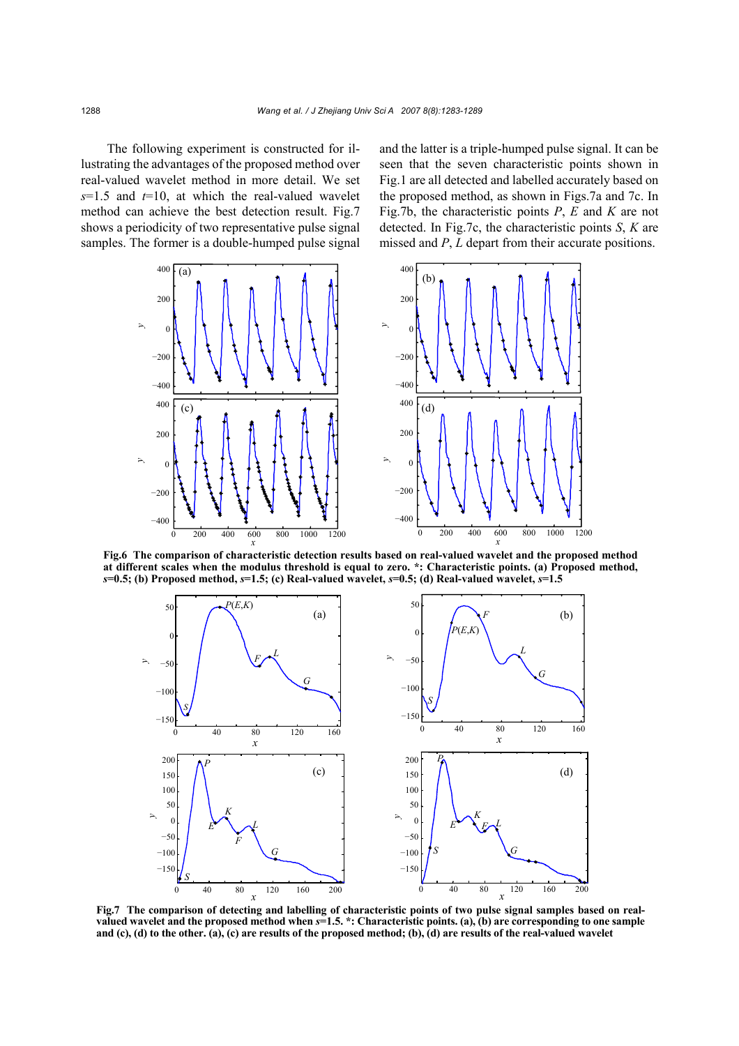The following experiment is constructed for illustrating the advantages of the proposed method over real-valued wavelet method in more detail. We set  $s=1.5$  and  $t=10$ , at which the real-valued wavelet method can achieve the best detection result. Fig.7 shows a periodicity of two representative pulse signal samples. The former is a double-humped pulse signal

and the latter is a triple-humped pulse signal. It can be seen that the seven characteristic points shown in Fig.1 are all detected and labelled accurately based on the proposed method, as shown in Figs.7a and 7c. In Fig.7b, the characteristic points *P*, *E* and *K* are not detected. In Fig.7c, the characteristic points *S*, *K* are missed and *P*, *L* depart from their accurate positions.



**Fig.6 The comparison of characteristic detection results based on real-valued wavelet and the proposed method at different scales when the modulus threshold is equal to zero. \*: Characteristic points. (a) Proposed method,** *s***=0.5; (b) Proposed method,** *s***=1.5; (c) Real-valued wavelet,** *s***=0.5; (d) Real-valued wavelet,** *s***=1.5**



**Fig.7 The comparison of detecting and labelling of characteristic points of two pulse signal samples based on realvalued wavelet and the proposed method when** *s***=1.5. \*: Characteristic points. (a), (b) are corresponding to one sample and (c), (d) to the other. (a), (c) are results of the proposed method; (b), (d) are results of the real-valued wavelet**